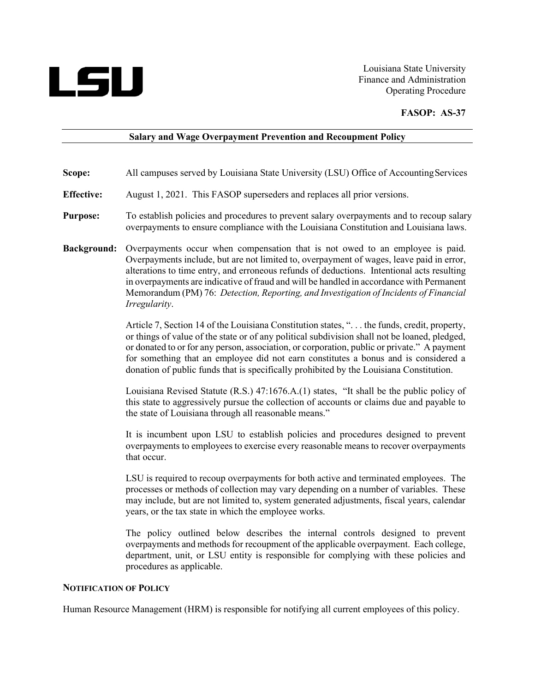

Louisiana State University Finance and Administration Operating Procedure

### **FASOP: AS-37**

#### **Salary and Wage Overpayment Prevention and Recoupment Policy**

- **Scope:** All campuses served by Louisiana State University (LSU) Office of Accounting Services
- **Effective:** August 1, 2021. This FASOP superseders and replaces all prior versions.
- **Purpose:** To establish policies and procedures to prevent salary overpayments and to recoup salary overpayments to ensure compliance with the Louisiana Constitution and Louisiana laws.
- **Background:** Overpayments occur when compensation that is not owed to an employee is paid. Overpayments include, but are not limited to, overpayment of wages, leave paid in error, alterations to time entry, and erroneous refunds of deductions. Intentional acts resulting in overpayments are indicative of fraud and will be handled in accordance with Permanent Memorandum (PM) 76: *Detection, Reporting, and Investigation of Incidents of Financial Irregularity*.

Article 7, Section 14 of the Louisiana Constitution states, ". . . the funds, credit, property, or things of value of the state or of any political subdivision shall not be loaned, pledged, or donated to or for any person, association, or corporation, public or private." A payment for something that an employee did not earn constitutes a bonus and is considered a donation of public funds that is specifically prohibited by the Louisiana Constitution.

Louisiana Revised Statute (R.S.) 47:1676.A.(1) states, "It shall be the public policy of this state to aggressively pursue the collection of accounts or claims due and payable to the state of Louisiana through all reasonable means."

It is incumbent upon LSU to establish policies and procedures designed to prevent overpayments to employees to exercise every reasonable means to recover overpayments that occur.

LSU is required to recoup overpayments for both active and terminated employees. The processes or methods of collection may vary depending on a number of variables. These may include, but are not limited to, system generated adjustments, fiscal years, calendar years, or the tax state in which the employee works.

The policy outlined below describes the internal controls designed to prevent overpayments and methods for recoupment of the applicable overpayment. Each college, department, unit, or LSU entity is responsible for complying with these policies and procedures as applicable.

### **NOTIFICATION OF POLICY**

Human Resource Management (HRM) is responsible for notifying all current employees of this policy.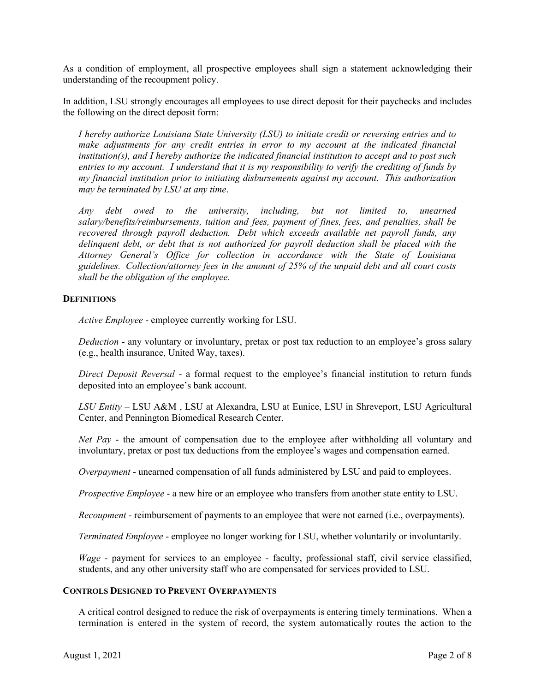As a condition of employment, all prospective employees shall sign a statement acknowledging their understanding of the recoupment policy.

In addition, LSU strongly encourages all employees to use direct deposit for their paychecks and includes the following on the direct deposit form:

*I hereby authorize Louisiana State University (LSU) to initiate credit or reversing entries and to make adjustments for any credit entries in error to my account at the indicated financial institution(s), and I hereby authorize the indicated financial institution to accept and to post such entries to my account. I understand that it is my responsibility to verify the crediting of funds by my financial institution prior to initiating disbursements against my account. This authorization may be terminated by LSU at any time*.

*Any debt owed to the university, including, but not limited to, unearned salary/benefits/reimbursements, tuition and fees, payment of fines, fees, and penalties, shall be recovered through payroll deduction. Debt which exceeds available net payroll funds, any delinquent debt, or debt that is not authorized for payroll deduction shall be placed with the Attorney General's Office for collection in accordance with the State of Louisiana guidelines. Collection/attorney fees in the amount of 25% of the unpaid debt and all court costs shall be the obligation of the employee.*

# **DEFINITIONS**

*Active Employee* - employee currently working for LSU.

*Deduction* - any voluntary or involuntary, pretax or post tax reduction to an employee's gross salary (e.g., health insurance, United Way, taxes).

*Direct Deposit Reversal* - a formal request to the employee's financial institution to return funds deposited into an employee's bank account.

*LSU Entity* – LSU A&M , LSU at Alexandra, LSU at Eunice, LSU in Shreveport, LSU Agricultural Center, and Pennington Biomedical Research Center.

*Net Pay* - the amount of compensation due to the employee after withholding all voluntary and involuntary, pretax or post tax deductions from the employee's wages and compensation earned.

*Overpayment* - unearned compensation of all funds administered by LSU and paid to employees.

*Prospective Employee* - a new hire or an employee who transfers from another state entity to LSU.

*Recoupment* - reimbursement of payments to an employee that were not earned (i.e., overpayments).

*Terminated Employee* - employee no longer working for LSU, whether voluntarily or involuntarily.

*Wage* - payment for services to an employee - faculty, professional staff, civil service classified, students, and any other university staff who are compensated for services provided to LSU.

### **CONTROLS DESIGNED TO PREVENT OVERPAYMENTS**

A critical control designed to reduce the risk of overpayments is entering timely terminations. When a termination is entered in the system of record, the system automatically routes the action to the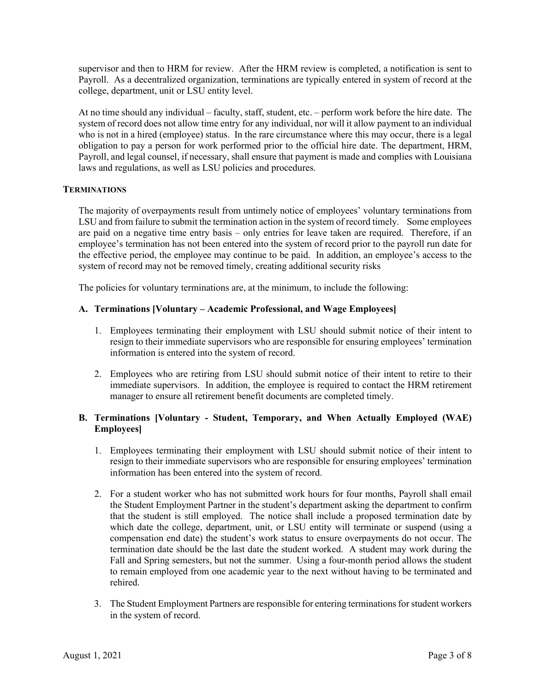supervisor and then to HRM for review. After the HRM review is completed, a notification is sent to Payroll. As a decentralized organization, terminations are typically entered in system of record at the college, department, unit or LSU entity level.

At no time should any individual – faculty, staff, student, etc. – perform work before the hire date. The system of record does not allow time entry for any individual, nor will it allow payment to an individual who is not in a hired (employee) status. In the rare circumstance where this may occur, there is a legal obligation to pay a person for work performed prior to the official hire date. The department, HRM, Payroll, and legal counsel, if necessary, shall ensure that payment is made and complies with Louisiana laws and regulations, as well as LSU policies and procedures.

# **TERMINATIONS**

The majority of overpayments result from untimely notice of employees' voluntary terminations from LSU and from failure to submit the termination action in the system of record timely. Some employees are paid on a negative time entry basis – only entries for leave taken are required. Therefore, if an employee's termination has not been entered into the system of record prior to the payroll run date for the effective period, the employee may continue to be paid. In addition, an employee's access to the system of record may not be removed timely, creating additional security risks

The policies for voluntary terminations are, at the minimum, to include the following:

# **A. Terminations [Voluntary – Academic Professional, and Wage Employees]**

- 1. Employees terminating their employment with LSU should submit notice of their intent to resign to their immediate supervisors who are responsible for ensuring employees' termination information is entered into the system of record.
- 2. Employees who are retiring from LSU should submit notice of their intent to retire to their immediate supervisors. In addition, the employee is required to contact the HRM retirement manager to ensure all retirement benefit documents are completed timely.

# **B. Terminations [Voluntary - Student, Temporary, and When Actually Employed (WAE) Employees]**

- 1. Employees terminating their employment with LSU should submit notice of their intent to resign to their immediate supervisors who are responsible for ensuring employees' termination information has been entered into the system of record.
- 2. For a student worker who has not submitted work hours for four months, Payroll shall email the Student Employment Partner in the student's department asking the department to confirm that the student is still employed. The notice shall include a proposed termination date by which date the college, department, unit, or LSU entity will terminate or suspend (using a compensation end date) the student's work status to ensure overpayments do not occur. The termination date should be the last date the student worked. A student may work during the Fall and Spring semesters, but not the summer. Using a four-month period allows the student to remain employed from one academic year to the next without having to be terminated and rehired.
- 3. The Student Employment Partners are responsible for entering terminations for student workers in the system of record.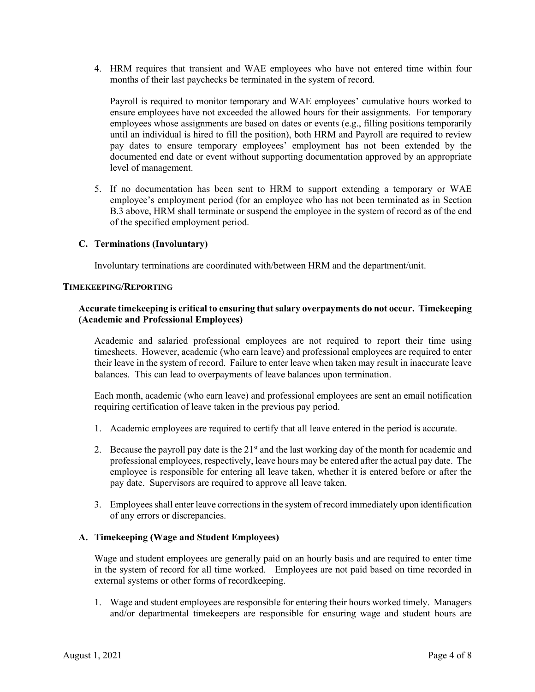4. HRM requires that transient and WAE employees who have not entered time within four months of their last paychecks be terminated in the system of record.

Payroll is required to monitor temporary and WAE employees' cumulative hours worked to ensure employees have not exceeded the allowed hours for their assignments. For temporary employees whose assignments are based on dates or events (e.g., filling positions temporarily until an individual is hired to fill the position), both HRM and Payroll are required to review pay dates to ensure temporary employees' employment has not been extended by the documented end date or event without supporting documentation approved by an appropriate level of management.

5. If no documentation has been sent to HRM to support extending a temporary or WAE employee's employment period (for an employee who has not been terminated as in Section B.3 above, HRM shall terminate or suspend the employee in the system of record as of the end of the specified employment period.

# **C. Terminations (Involuntary)**

Involuntary terminations are coordinated with/between HRM and the department/unit.

### **TIMEKEEPING/REPORTING**

### **Accurate timekeeping is critical to ensuring that salary overpayments do not occur. Timekeeping (Academic and Professional Employees)**

Academic and salaried professional employees are not required to report their time using timesheets. However, academic (who earn leave) and professional employees are required to enter their leave in the system of record. Failure to enter leave when taken may result in inaccurate leave balances. This can lead to overpayments of leave balances upon termination.

Each month, academic (who earn leave) and professional employees are sent an email notification requiring certification of leave taken in the previous pay period.

- 1. Academic employees are required to certify that all leave entered in the period is accurate.
- 2. Because the payroll pay date is the  $21<sup>st</sup>$  and the last working day of the month for academic and professional employees, respectively, leave hours may be entered after the actual pay date. The employee is responsible for entering all leave taken, whether it is entered before or after the pay date. Supervisors are required to approve all leave taken.
- 3. Employees shall enter leave corrections in the system of record immediately upon identification of any errors or discrepancies.

# **A. Timekeeping (Wage and Student Employees)**

Wage and student employees are generally paid on an hourly basis and are required to enter time in the system of record for all time worked. Employees are not paid based on time recorded in external systems or other forms of recordkeeping.

1. Wage and student employees are responsible for entering their hours worked timely. Managers and/or departmental timekeepers are responsible for ensuring wage and student hours are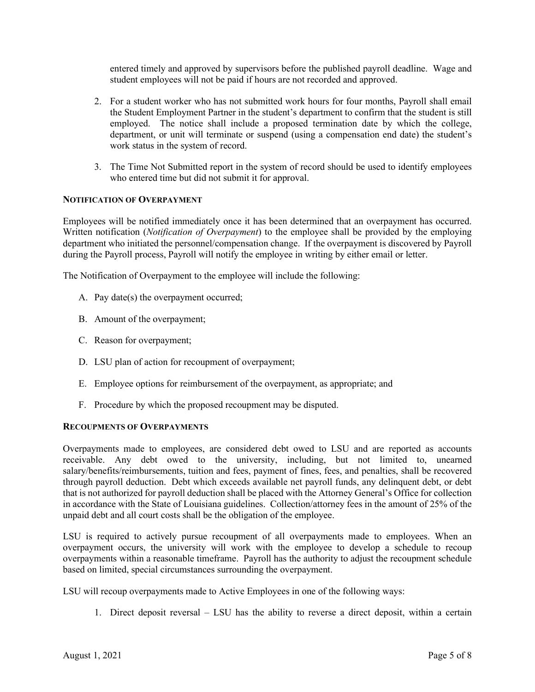entered timely and approved by supervisors before the published payroll deadline. Wage and student employees will not be paid if hours are not recorded and approved.

- 2. For a student worker who has not submitted work hours for four months, Payroll shall email the Student Employment Partner in the student's department to confirm that the student is still employed. The notice shall include a proposed termination date by which the college, department, or unit will terminate or suspend (using a compensation end date) the student's work status in the system of record.
- 3. The Time Not Submitted report in the system of record should be used to identify employees who entered time but did not submit it for approval.

# **NOTIFICATION OF OVERPAYMENT**

Employees will be notified immediately once it has been determined that an overpayment has occurred. Written notification (*Notification of Overpayment*) to the employee shall be provided by the employing department who initiated the personnel/compensation change. If the overpayment is discovered by Payroll during the Payroll process, Payroll will notify the employee in writing by either email or letter.

The Notification of Overpayment to the employee will include the following:

- A. Pay date(s) the overpayment occurred;
- B. Amount of the overpayment;
- C. Reason for overpayment;
- D. LSU plan of action for recoupment of overpayment;
- E. Employee options for reimbursement of the overpayment, as appropriate; and
- F. Procedure by which the proposed recoupment may be disputed.

#### **RECOUPMENTS OF OVERPAYMENTS**

Overpayments made to employees, are considered debt owed to LSU and are reported as accounts receivable. Any debt owed to the university, including, but not limited to, unearned salary/benefits/reimbursements, tuition and fees, payment of fines, fees, and penalties, shall be recovered through payroll deduction. Debt which exceeds available net payroll funds, any delinquent debt, or debt that is not authorized for payroll deduction shall be placed with the Attorney General's Office for collection in accordance with the State of Louisiana guidelines. Collection/attorney fees in the amount of 25% of the unpaid debt and all court costs shall be the obligation of the employee.

LSU is required to actively pursue recoupment of all overpayments made to employees. When an overpayment occurs, the university will work with the employee to develop a schedule to recoup overpayments within a reasonable timeframe. Payroll has the authority to adjust the recoupment schedule based on limited, special circumstances surrounding the overpayment.

LSU will recoup overpayments made to Active Employees in one of the following ways:

1. Direct deposit reversal – LSU has the ability to reverse a direct deposit, within a certain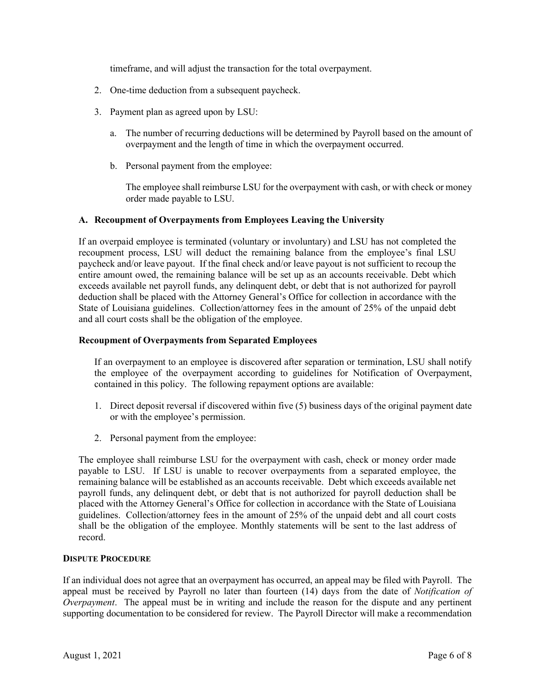timeframe, and will adjust the transaction for the total overpayment.

- 2. One-time deduction from a subsequent paycheck.
- 3. Payment plan as agreed upon by LSU:
	- a. The number of recurring deductions will be determined by Payroll based on the amount of overpayment and the length of time in which the overpayment occurred.
	- b. Personal payment from the employee:

The employee shall reimburse LSU for the overpayment with cash, or with check or money order made payable to LSU.

# **A. Recoupment of Overpayments from Employees Leaving the University**

If an overpaid employee is terminated (voluntary or involuntary) and LSU has not completed the recoupment process, LSU will deduct the remaining balance from the employee's final LSU paycheck and/or leave payout. If the final check and/or leave payout is not sufficient to recoup the entire amount owed, the remaining balance will be set up as an accounts receivable. Debt which exceeds available net payroll funds, any delinquent debt, or debt that is not authorized for payroll deduction shall be placed with the Attorney General's Office for collection in accordance with the State of Louisiana guidelines. Collection/attorney fees in the amount of 25% of the unpaid debt and all court costs shall be the obligation of the employee.

# **Recoupment of Overpayments from Separated Employees**

If an overpayment to an employee is discovered after separation or termination, LSU shall notify the employee of the overpayment according to guidelines for Notification of Overpayment, contained in this policy. The following repayment options are available:

- 1. Direct deposit reversal if discovered within five (5) business days of the original payment date or with the employee's permission.
- 2. Personal payment from the employee:

The employee shall reimburse LSU for the overpayment with cash, check or money order made payable to LSU. If LSU is unable to recover overpayments from a separated employee, the remaining balance will be established as an accounts receivable. Debt which exceeds available net payroll funds, any delinquent debt, or debt that is not authorized for payroll deduction shall be placed with the Attorney General's Office for collection in accordance with the State of Louisiana guidelines. Collection/attorney fees in the amount of 25% of the unpaid debt and all court costs shall be the obligation of the employee. Monthly statements will be sent to the last address of record.

#### **DISPUTE PROCEDURE**

If an individual does not agree that an overpayment has occurred, an appeal may be filed with Payroll. The appeal must be received by Payroll no later than fourteen (14) days from the date of *Notification of Overpayment*. The appeal must be in writing and include the reason for the dispute and any pertinent supporting documentation to be considered for review. The Payroll Director will make a recommendation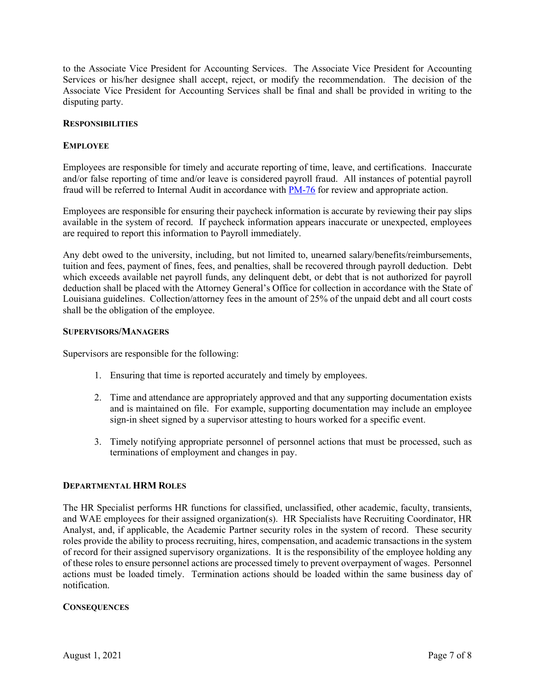to the Associate Vice President for Accounting Services. The Associate Vice President for Accounting Services or his/her designee shall accept, reject, or modify the recommendation. The decision of the Associate Vice President for Accounting Services shall be final and shall be provided in writing to the disputing party.

#### **RESPONSIBILITIES**

#### **EMPLOYEE**

Employees are responsible for timely and accurate reporting of time, leave, and certifications. Inaccurate and/or false reporting of time and/or leave is considered payroll fraud. All instances of potential payroll fraud will be referred to Internal Audit in accordance with PM-76 for review and appropriate action.

Employees are responsible for ensuring their paycheck information is accurate by reviewing their pay slips available in the system of record. If paycheck information appears inaccurate or unexpected, employees are required to report this information to Payroll immediately.

Any debt owed to the university, including, but not limited to, unearned salary/benefits/reimbursements, tuition and fees, payment of fines, fees, and penalties, shall be recovered through payroll deduction. Debt which exceeds available net payroll funds, any delinquent debt, or debt that is not authorized for payroll deduction shall be placed with the Attorney General's Office for collection in accordance with the State of Louisiana guidelines. Collection/attorney fees in the amount of 25% of the unpaid debt and all court costs shall be the obligation of the employee.

#### **SUPERVISORS/MANAGERS**

Supervisors are responsible for the following:

- 1. Ensuring that time is reported accurately and timely by employees.
- 2. Time and attendance are appropriately approved and that any supporting documentation exists and is maintained on file. For example, supporting documentation may include an employee sign-in sheet signed by a supervisor attesting to hours worked for a specific event.
- 3. Timely notifying appropriate personnel of personnel actions that must be processed, such as terminations of employment and changes in pay.

# **DEPARTMENTAL HRM ROLES**

The HR Specialist performs HR functions for classified, unclassified, other academic, faculty, transients, and WAE employees for their assigned organization(s). HR Specialists have Recruiting Coordinator, HR Analyst, and, if applicable, the Academic Partner security roles in the system of record. These security roles provide the ability to process recruiting, hires, compensation, and academic transactions in the system of record for their assigned supervisory organizations. It is the responsibility of the employee holding any of these roles to ensure personnel actions are processed timely to prevent overpayment of wages. Personnel actions must be loaded timely. Termination actions should be loaded within the same business day of notification.

#### **CONSEQUENCES**